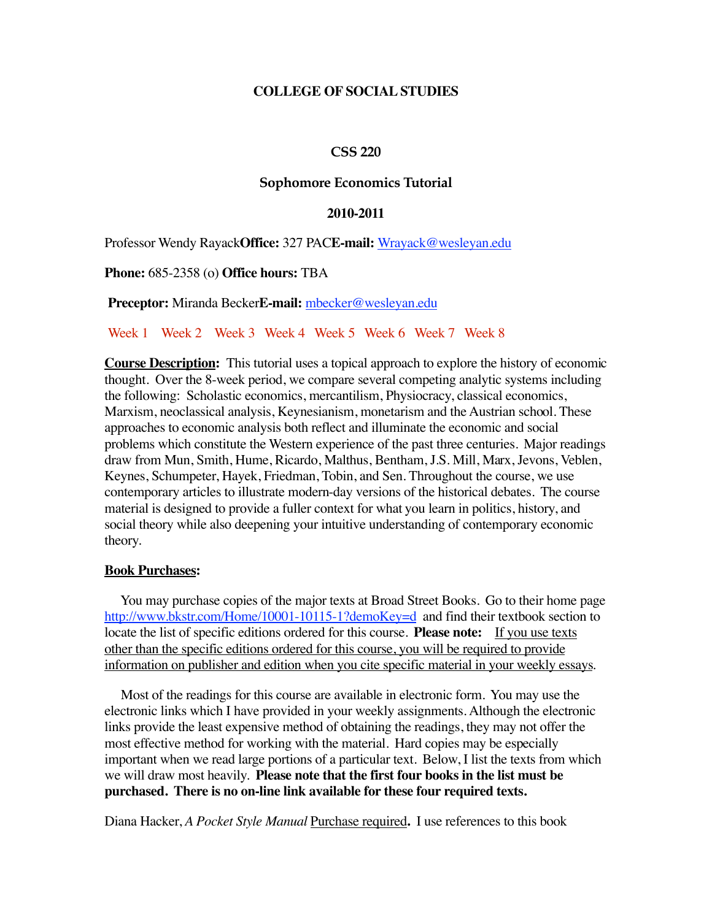### **COLLEGE OF SOCIAL STUDIES**

#### **CSS 220**

#### **Sophomore Economics Tutorial**

#### **2010-2011**

Professor Wendy Rayack**Office:** 327 PAC**E-mail:** Wrayack@wesleyan.edu

**Phone:** 685-2358 (o) **Office hours:** TBA

**Preceptor:** Miranda Becker**E-mail:** mbecker@wesleyan.edu

#### Week 1 Week 2 Week 3 Week 4 Week 5 Week 6 Week 7 Week 8

**Course Description:** This tutorial uses a topical approach to explore the history of economic thought. Over the 8-week period, we compare several competing analytic systems including the following: Scholastic economics, mercantilism, Physiocracy, classical economics, Marxism, neoclassical analysis, Keynesianism, monetarism and the Austrian school. These approaches to economic analysis both reflect and illuminate the economic and social problems which constitute the Western experience of the past three centuries. Major readings draw from Mun, Smith, Hume, Ricardo, Malthus, Bentham, J.S. Mill, Marx, Jevons, Veblen, Keynes, Schumpeter, Hayek, Friedman, Tobin, and Sen. Throughout the course, we use contemporary articles to illustrate modern-day versions of the historical debates. The course material is designed to provide a fuller context for what you learn in politics, history, and social theory while also deepening your intuitive understanding of contemporary economic theory.

#### **Book Purchases:**

 You may purchase copies of the major texts at Broad Street Books. Go to their home page http://www.bkstr.com/Home/10001-10115-1?demoKey=d and find their textbook section to locate the list of specific editions ordered for this course. **Please note:** If you use texts other than the specific editions ordered for this course, you will be required to provide information on publisher and edition when you cite specific material in your weekly essays.

 Most of the readings for this course are available in electronic form. You may use the electronic links which I have provided in your weekly assignments. Although the electronic links provide the least expensive method of obtaining the readings, they may not offer the most effective method for working with the material. Hard copies may be especially important when we read large portions of a particular text. Below, I list the texts from which we will draw most heavily. **Please note that the first four books in the list must be purchased. There is no on-line link available for these four required texts.**

Diana Hacker, *A Pocket Style Manual* Purchase required**.** I use references to this book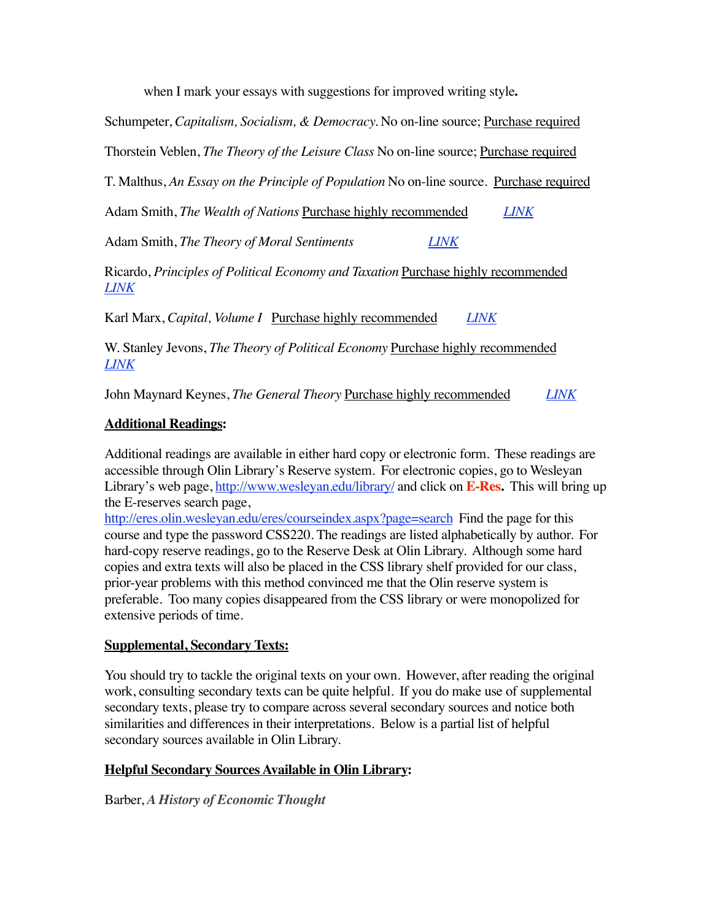when I mark your essays with suggestions for improved writing style**.**

Schumpeter, *Capitalism, Socialism, & Democracy.* No on-line source; Purchase required

Thorstein Veblen, *The Theory of the Leisure Class* No on-line source; Purchase required

T. Malthus, *An Essay on the Principle of Population* No on-line source. Purchase required

Adam Smith, *The Wealth of Nations* Purchase highly recommended *LINK*

Adam Smith, *The Theory of Moral Sentiments LINK*

Ricardo, *Principles of Political Economy and Taxation* Purchase highly recommended *LINK*

Karl Marx, *Capital, Volume I* Purchase highly recommended *LINK*

W. Stanley Jevons, *The Theory of Political Economy* Purchase highly recommended *LINK*

John Maynard Keynes, *The General Theory* Purchase highly recommended *LINK*

### **Additional Readings:**

Additional readings are available in either hard copy or electronic form. These readings are accessible through Olin Library's Reserve system. For electronic copies, go to Wesleyan Library's web page, http://www.wesleyan.edu/library/ and click on **E-Res.** This will bring up the E-reserves search page,

http://eres.olin.wesleyan.edu/eres/courseindex.aspx?page=search Find the page for this course and type the password CSS220. The readings are listed alphabetically by author. For hard-copy reserve readings, go to the Reserve Desk at Olin Library. Although some hard copies and extra texts will also be placed in the CSS library shelf provided for our class, prior-year problems with this method convinced me that the Olin reserve system is preferable. Too many copies disappeared from the CSS library or were monopolized for extensive periods of time.

# **Supplemental, Secondary Texts:**

You should try to tackle the original texts on your own. However, after reading the original work, consulting secondary texts can be quite helpful. If you do make use of supplemental secondary texts, please try to compare across several secondary sources and notice both similarities and differences in their interpretations. Below is a partial list of helpful secondary sources available in Olin Library.

# **Helpful Secondary Sources Available in Olin Library:**

Barber, *A History of Economic Thought*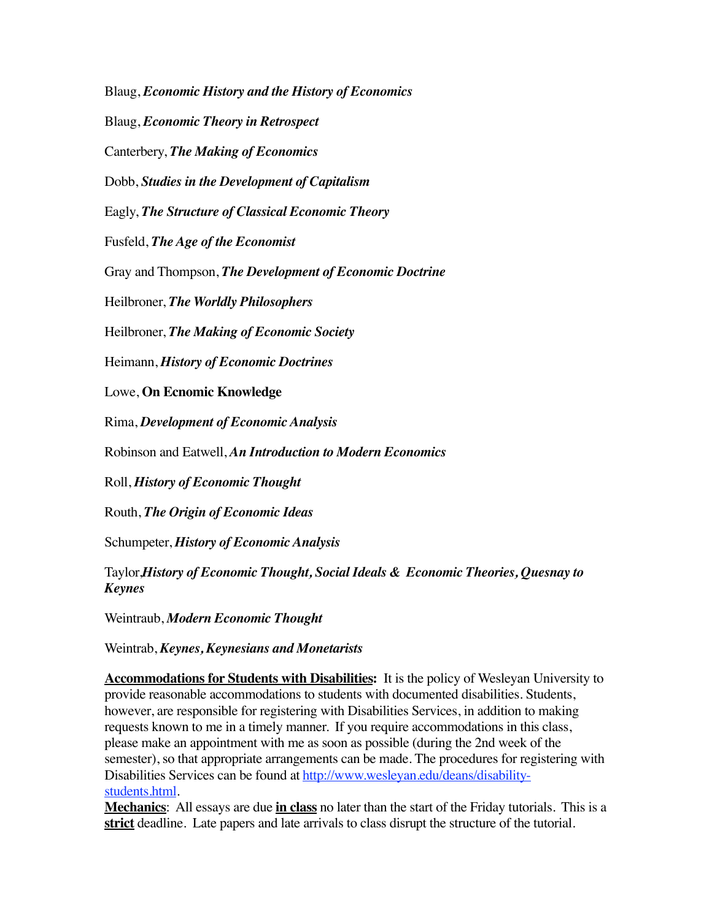Blaug, *Economic History and the History of Economics*

Blaug, *Economic Theory in Retrospect*

Canterbery, *The Making of Economics*

Dobb, *Studies in the Development of Capitalism*

Eagly, *The Structure of Classical Economic Theory*

Fusfeld, *The Age of the Economist*

Gray and Thompson, *The Development of Economic Doctrine*

Heilbroner, *The Worldly Philosophers*

Heilbroner, *The Making of Economic Society*

Heimann, *History of Economic Doctrines*

Lowe, **On Ecnomic Knowledge**

Rima, *Development of Economic Analysis*

Robinson and Eatwell, *An Introduction to Modern Economics*

Roll, *History of Economic Thought*

Routh, *The Origin of Economic Ideas*

Schumpeter, *History of Economic Analysis*

Taylor,*History of Economic Thought, Social Ideals & Economic Theories, Quesnay to Keynes*

Weintraub, *Modern Economic Thought*

Weintrab, *Keynes, Keynesians and Monetarists*

**Accommodations for Students with Disabilities:** It is the policy of Wesleyan University to provide reasonable accommodations to students with documented disabilities. Students, however, are responsible for registering with Disabilities Services, in addition to making requests known to me in a timely manner. If you require accommodations in this class, please make an appointment with me as soon as possible (during the 2nd week of the semester), so that appropriate arrangements can be made. The procedures for registering with Disabilities Services can be found at http://www.wesleyan.edu/deans/disabilitystudents.html.

**Mechanics**: All essays are due **in class** no later than the start of the Friday tutorials. This is a **strict** deadline. Late papers and late arrivals to class disrupt the structure of the tutorial.